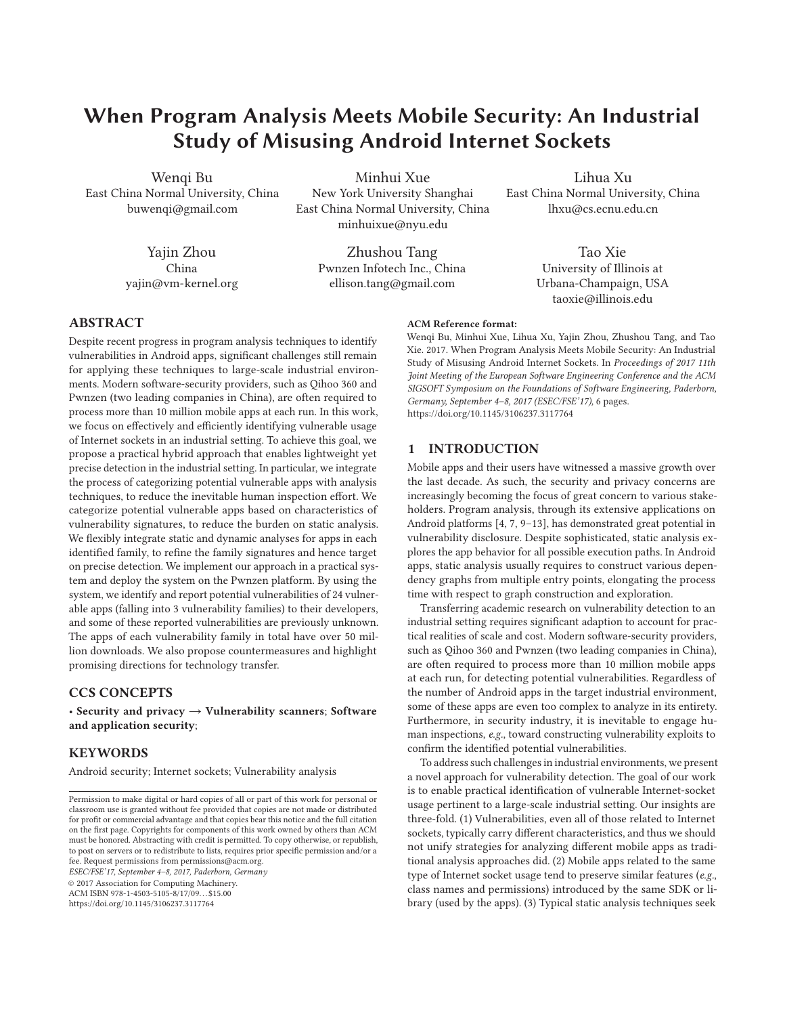# **When Program Analysis Meets Mobile Security: An Industrial Study of Misusing Android Internet Sockets**

Wenqi Bu East China Normal University, China buwenqi@gmail.com

> Yajin Zhou China yajin@vm-kernel.org

Minhui Xue New York University Shanghai East China Normal University, China minhuixue@nyu.edu

> Zhushou Tang Pwnzen Infotech Inc., China ellison.tang@gmail.com

Lihua Xu East China Normal University, China lhxu@cs.ecnu.edu.cn

> Tao Xie University of Illinois at Urbana-Champaign, USA taoxie@illinois.edu

# **ABSTRACT**

Despite recent progress in program analysis techniques to identify vulnerabilities in Android apps, significant challenges still remain for applying these techniques to large-scale industrial environments. Modern software-security providers, such as Qihoo 360 and Pwnzen (two leading companies in China), are often required to process more than 10 million mobile apps at each run. In this work, we focus on effectively and efficiently identifying vulnerable usage of Internet sockets in an industrial setting. To achieve this goal, we propose a practical hybrid approach that enables lightweight yet precise detection in the industrial setting. In particular, we integrate the process of categorizing potential vulnerable apps with analysis techniques, to reduce the inevitable human inspection effort. We categorize potential vulnerable apps based on characteristics of vulnerability signatures, to reduce the burden on static analysis. We flexibly integrate static and dynamic analyses for apps in each identified family, to refine the family signatures and hence target on precise detection. We implement our approach in a practical system and deploy the system on the Pwnzen platform. By using the system, we identify and report potential vulnerabilities of 24 vulnerable apps (falling into 3 vulnerability families) to their developers, and some of these reported vulnerabilities are previously unknown. The apps of each vulnerability family in total have over 50 million downloads. We also propose countermeasures and highlight promising directions for technology transfer.

# **CCS CONCEPTS**

• **Security and privacy** → **Vulnerability scanners**; **Software and application security**;

## **KEYWORDS**

Android security; Internet sockets; Vulnerability analysis

ESEC/FSE'17, September 4–8, 2017, Paderborn, Germany

© 2017 Association for Computing Machinery.

ACM ISBN 978-1-4503-5105-8/17/09. . . \$15.00

https://doi.org/10.1145/3106237.3117764

#### **ACM Reference format:**

Wenqi Bu, Minhui Xue, Lihua Xu, Yajin Zhou, Zhushou Tang, and Tao Xie. 2017. When Program Analysis Meets Mobile Security: An Industrial Study of Misusing Android Internet Sockets. In Proceedings of 2017 11th Joint Meeting of the European Software Engineering Conference and the ACM SIGSOFT Symposium on the Foundations of Software Engineering, Paderborn, Germany, September 4–8, 2017 (ESEC/FSE'17), 6 pages. https://doi.org/10.1145/3106237.3117764

## **1 INTRODUCTION**

Mobile apps and their users have witnessed a massive growth over the last decade. As such, the security and privacy concerns are increasingly becoming the focus of great concern to various stakeholders. Program analysis, through its extensive applications on Android platforms [4, 7, 9–13], has demonstrated great potential in vulnerability disclosure. Despite sophisticated, static analysis explores the app behavior for all possible execution paths. In Android apps, static analysis usually requires to construct various dependency graphs from multiple entry points, elongating the process time with respect to graph construction and exploration.

Transferring academic research on vulnerability detection to an industrial setting requires significant adaption to account for practical realities of scale and cost. Modern software-security providers, such as Qihoo 360 and Pwnzen (two leading companies in China), are often required to process more than 10 million mobile apps at each run, for detecting potential vulnerabilities. Regardless of the number of Android apps in the target industrial environment, some of these apps are even too complex to analyze in its entirety. Furthermore, in security industry, it is inevitable to engage human inspections, e.g., toward constructing vulnerability exploits to confirm the identified potential vulnerabilities.

To address such challenges in industrial environments, we present a novel approach for vulnerability detection. The goal of our work is to enable practical identification of vulnerable Internet-socket usage pertinent to a large-scale industrial setting. Our insights are three-fold. (1) Vulnerabilities, even all of those related to Internet sockets, typically carry different characteristics, and thus we should not unify strategies for analyzing different mobile apps as traditional analysis approaches did. (2) Mobile apps related to the same type of Internet socket usage tend to preserve similar features (e.g., class names and permissions) introduced by the same SDK or library (used by the apps). (3) Typical static analysis techniques seek

Permission to make digital or hard copies of all or part of this work for personal or classroom use is granted without fee provided that copies are not made or distributed for profit or commercial advantage and that copies bear this notice and the full citation on the first page. Copyrights for components of this work owned by others than ACM must be honored. Abstracting with credit is permitted. To copy otherwise, or republish, to post on servers or to redistribute to lists, requires prior specific permission and/or a fee. Request permissions from permissions@acm.org.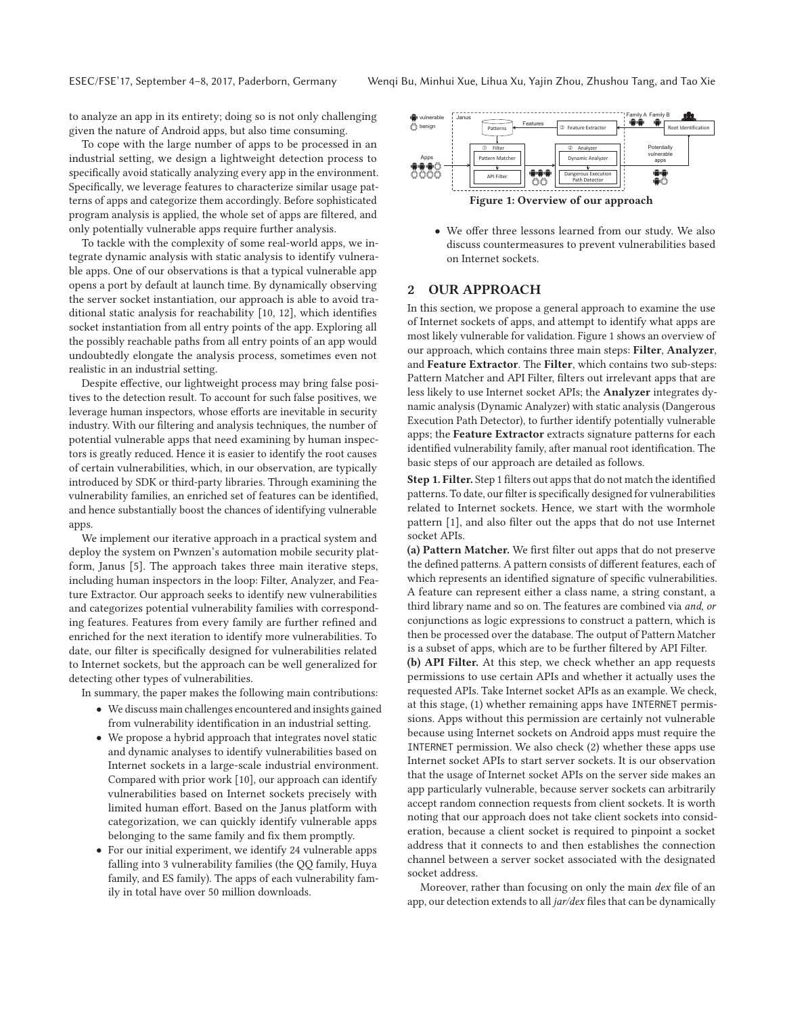to analyze an app in its entirety; doing so is not only challenging given the nature of Android apps, but also time consuming.

To cope with the large number of apps to be processed in an industrial setting, we design a lightweight detection process to specifically avoid statically analyzing every app in the environment. Specifically, we leverage features to characterize similar usage patterns of apps and categorize them accordingly. Before sophisticated program analysis is applied, the whole set of apps are filtered, and only potentially vulnerable apps require further analysis.

To tackle with the complexity of some real-world apps, we integrate dynamic analysis with static analysis to identify vulnerable apps. One of our observations is that a typical vulnerable app opens a port by default at launch time. By dynamically observing the server socket instantiation, our approach is able to avoid traditional static analysis for reachability [10, 12], which identifies socket instantiation from all entry points of the app. Exploring all the possibly reachable paths from all entry points of an app would undoubtedly elongate the analysis process, sometimes even not realistic in an industrial setting.

Despite effective, our lightweight process may bring false positives to the detection result. To account for such false positives, we leverage human inspectors, whose efforts are inevitable in security industry. With our filtering and analysis techniques, the number of potential vulnerable apps that need examining by human inspectors is greatly reduced. Hence it is easier to identify the root causes of certain vulnerabilities, which, in our observation, are typically introduced by SDK or third-party libraries. Through examining the vulnerability families, an enriched set of features can be identified, and hence substantially boost the chances of identifying vulnerable apps.

We implement our iterative approach in a practical system and deploy the system on Pwnzen's automation mobile security platform, Janus [5]. The approach takes three main iterative steps, including human inspectors in the loop: Filter, Analyzer, and Feature Extractor. Our approach seeks to identify new vulnerabilities and categorizes potential vulnerability families with corresponding features. Features from every family are further refined and enriched for the next iteration to identify more vulnerabilities. To date, our filter is specifically designed for vulnerabilities related to Internet sockets, but the approach can be well generalized for detecting other types of vulnerabilities.

In summary, the paper makes the following main contributions:

- We discuss main challenges encountered and insights gained from vulnerability identification in an industrial setting.
- We propose a hybrid approach that integrates novel static and dynamic analyses to identify vulnerabilities based on Internet sockets in a large-scale industrial environment. Compared with prior work [10], our approach can identify vulnerabilities based on Internet sockets precisely with limited human effort. Based on the Janus platform with categorization, we can quickly identify vulnerable apps belonging to the same family and fix them promptly.
- For our initial experiment, we identify 24 vulnerable apps falling into 3 vulnerability families (the QQ family, Huya family, and ES family). The apps of each vulnerability family in total have over 50 million downloads.



• We offer three lessons learned from our study. We also discuss countermeasures to prevent vulnerabilities based on Internet sockets.

# **2 OUR APPROACH**

In this section, we propose a general approach to examine the use of Internet sockets of apps, and attempt to identify what apps are most likely vulnerable for validation. Figure 1 shows an overview of our approach, which contains three main steps: **Filter**, **Analyzer**, and **Feature Extractor**. The **Filter**, which contains two sub-steps: Pattern Matcher and API Filter, filters out irrelevant apps that are less likely to use Internet socket APIs; the **Analyzer** integrates dynamic analysis (Dynamic Analyzer) with static analysis (Dangerous Execution Path Detector), to further identify potentially vulnerable apps; the **Feature Extractor** extracts signature patterns for each identified vulnerability family, after manual root identification. The basic steps of our approach are detailed as follows.

**Step 1. Filter.** Step 1 filters out apps that do not match the identified patterns. To date, our filter is specifically designed for vulnerabilities related to Internet sockets. Hence, we start with the wormhole pattern [1], and also filter out the apps that do not use Internet socket APIs.

**(a) Pattern Matcher.** We first filter out apps that do not preserve the defined patterns. A pattern consists of different features, each of which represents an identified signature of specific vulnerabilities. A feature can represent either a class name, a string constant, a third library name and so on. The features are combined via and, or conjunctions as logic expressions to construct a pattern, which is then be processed over the database. The output of Pattern Matcher is a subset of apps, which are to be further filtered by API Filter.

**(b) API Filter.** At this step, we check whether an app requests permissions to use certain APIs and whether it actually uses the requested APIs. Take Internet socket APIs as an example. We check, at this stage, (1) whether remaining apps have INTERNET permissions. Apps without this permission are certainly not vulnerable because using Internet sockets on Android apps must require the INTERNET permission. We also check (2) whether these apps use Internet socket APIs to start server sockets. It is our observation that the usage of Internet socket APIs on the server side makes an app particularly vulnerable, because server sockets can arbitrarily accept random connection requests from client sockets. It is worth noting that our approach does not take client sockets into consideration, because a client socket is required to pinpoint a socket address that it connects to and then establishes the connection channel between a server socket associated with the designated socket address.

Moreover, rather than focusing on only the main dex file of an app, our detection extends to all jar/dex files that can be dynamically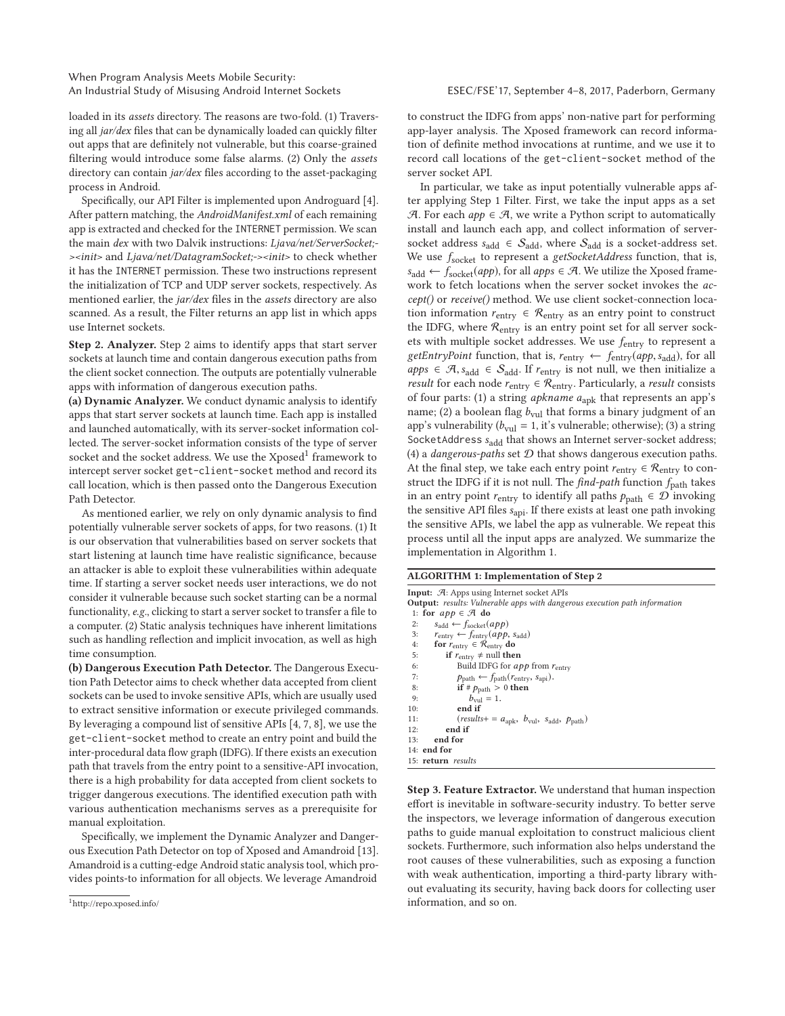loaded in its assets directory. The reasons are two-fold. (1) Traversing all jar/dex files that can be dynamically loaded can quickly filter out apps that are definitely not vulnerable, but this coarse-grained filtering would introduce some false alarms. (2) Only the assets directory can contain *jar/dex* files according to the asset-packaging process in Android.

Specifically, our API Filter is implemented upon Androguard [4]. After pattern matching, the AndroidManifest.xml of each remaining app is extracted and checked for the INTERNET permission. We scan the main dex with two Dalvik instructions: Ljava/net/ServerSocket;- ><init> and Ljava/net/DatagramSocket;-><init> to check whether it has the INTERNET permission. These two instructions represent the initialization of TCP and UDP server sockets, respectively. As mentioned earlier, the *jar/dex* files in the *assets* directory are also scanned. As a result, the Filter returns an app list in which apps use Internet sockets.

**Step 2. Analyzer.** Step 2 aims to identify apps that start server sockets at launch time and contain dangerous execution paths from the client socket connection. The outputs are potentially vulnerable apps with information of dangerous execution paths.

**(a) Dynamic Analyzer.** We conduct dynamic analysis to identify apps that start server sockets at launch time. Each app is installed and launched automatically, with its server-socket information collected. The server-socket information consists of the type of server socket and the socket address. We use the Xposed<sup>1</sup> framework to intercept server socket get-client-socket method and record its call location, which is then passed onto the Dangerous Execution Path Detector.

As mentioned earlier, we rely on only dynamic analysis to find potentially vulnerable server sockets of apps, for two reasons. (1) It is our observation that vulnerabilities based on server sockets that start listening at launch time have realistic significance, because an attacker is able to exploit these vulnerabilities within adequate time. If starting a server socket needs user interactions, we do not consider it vulnerable because such socket starting can be a normal functionality, e.g., clicking to start a server socket to transfer a file to a computer. (2) Static analysis techniques have inherent limitations such as handling reflection and implicit invocation, as well as high time consumption.

**(b) Dangerous Execution Path Detector.** The Dangerous Execution Path Detector aims to check whether data accepted from client sockets can be used to invoke sensitive APIs, which are usually used to extract sensitive information or execute privileged commands. By leveraging a compound list of sensitive APIs [4, 7, 8], we use the get-client-socket method to create an entry point and build the inter-procedural data flow graph (IDFG). If there exists an execution path that travels from the entry point to a sensitive-API invocation, there is a high probability for data accepted from client sockets to trigger dangerous executions. The identified execution path with various authentication mechanisms serves as a prerequisite for manual exploitation.

Specifically, we implement the Dynamic Analyzer and Dangerous Execution Path Detector on top of Xposed and Amandroid [13]. Amandroid is a cutting-edge Android static analysis tool, which provides points-to information for all objects. We leverage Amandroid

to construct the IDFG from apps' non-native part for performing app-layer analysis. The Xposed framework can record information of definite method invocations at runtime, and we use it to record call locations of the get-client-socket method of the server socket API.

In particular, we take as input potentially vulnerable apps after applying Step 1 Filter. First, we take the input apps as a set A. For each  $app \in \mathcal{A}$ , we write a Python script to automatically install and launch each app, and collect information of serversocket address  $s_{add} \in S_{add}$ , where  $S_{add}$  is a socket-address set. We use  $f_{\text{socket}}$  to represent a getSocketAddress function, that is,  $s_{\text{add}} \leftarrow f_{\text{socket}}(app)$ , for all  $apps \in \mathcal{A}$ . We utilize the Xposed framework to fetch locations when the server socket invokes the accept() or receive() method. We use client socket-connection location information  $r_{\text{entry}} \in \mathcal{R}_{\text{entry}}$  as an entry point to construct the IDFG, where  $\mathcal{R}_{\text{entry}}$  is an entry point set for all server sockets with multiple socket addresses. We use fentry to represent a getEntryPoint function, that is,  $r_{entry} \leftarrow f_{entry}(app, s_{add})$ , for all apps ∈  $\mathcal{A}, s_{add} \in S_{add}$ . If  $r_{entry}$  is not null, we then initialize a result for each node  $r_{\text{entry}} \in \mathcal{R}_{\text{entry}}$ . Particularly, a result consists of four parts: (1) a string *apkname*  $a_{\text{apk}}$  that represents an app's name; (2) a boolean flag  $b_{\text{vul}}$  that forms a binary judgment of an app's vulnerability ( $b_{\text{vul}} = 1$ , it's vulnerable; otherwise); (3) a string SocketAddress  $s_{add}$  that shows an Internet server-socket address; (4) a *dangerous-paths* set  $D$  that shows dangerous execution paths. At the final step, we take each entry point  $r_{\text{entry}} \in \mathcal{R}_{\text{entry}}$  to construct the IDFG if it is not null. The  $find-path$  function  $f_{path}$  takes in an entry point  $r_{\text{entry}}$  to identify all paths  $p_{\text{path}} \in \mathcal{D}$  invoking the sensitive API files  $s_{\text{api}}$ . If there exists at least one path invoking the sensitive APIs, we label the app as vulnerable. We repeat this process until all the input apps are analyzed. We summarize the implementation in Algorithm 1.

#### **ALGORITHM 1: Implementation of Step 2**

**Input:** A: Apps using Internet socket APIs **Output:** results: Vulnerable apps with dangerous execution path information 1: **for**  $app \in \mathcal{A}$  **do**<br>2:  $s_{\text{odd}} \leftarrow f_{\text{coclat}}(q)$ 2:  $s_{\text{add}} \leftarrow f_{\text{socket}}(app)$ <br>3:  $r_{\text{entry}} \leftarrow f_{\text{entry}}(app)$ 3:  $r_{\text{entry}} \leftarrow f_{\text{entry}}(app, s_{\text{add}})$ <br>4: **for**  $r_{\text{entry}} \in \mathcal{R}_{\text{entry}}$ **do** 4: **for**  $r_{\text{entry}} \in \mathcal{R}_{\text{entry}}$  **do**<br>5: **if**  $r_{\text{outer}} \neq \text{null}$  then 5: **if**  $r_{\text{entry}} \neq \text{null}$  then 6: Build IDFG for *app* from  $r_{\text{entry}}$ <br>7:  $p_{\text{path}} \leftarrow f_{\text{path}}(r_{\text{entry}}, s_{\text{api}})$ . 7:  $p_{path} \leftarrow f_{path}(r_{entry}, s_{api}).$ <br>8:  $\textbf{if} \# p_{path} > 0 \textbf{then}$ 8: **if**  $# p_{path} > 0$  **then**<br>9:  $b_{null} = 1$ . 9:  $b_{\text{vul}} = 1.$ <br>10: **end if** 10: **end if**  $(results+=a_{apk}, b_{vul}, s_{add}, p_{path})$ 12: **end if** 13: **end for** 14: **end for** 15: **return** results

**Step 3. Feature Extractor.** We understand that human inspection effort is inevitable in software-security industry. To better serve the inspectors, we leverage information of dangerous execution paths to guide manual exploitation to construct malicious client sockets. Furthermore, such information also helps understand the root causes of these vulnerabilities, such as exposing a function with weak authentication, importing a third-party library without evaluating its security, having back doors for collecting user information, and so on.

<sup>1</sup>http://repo.xposed.info/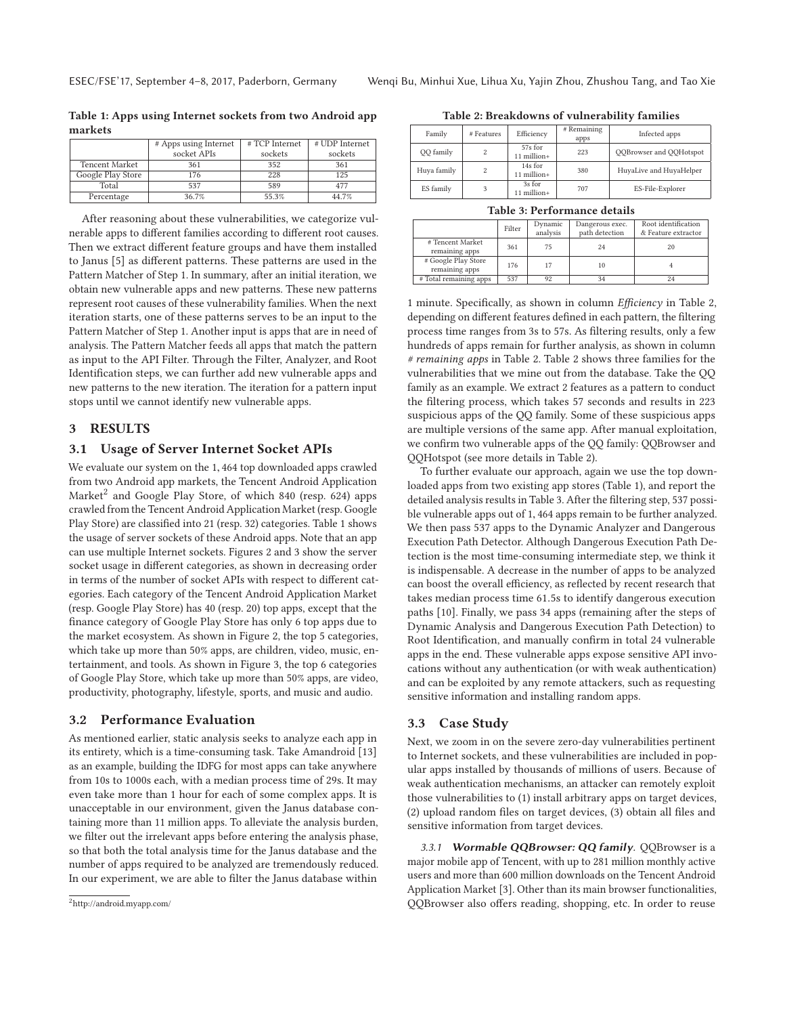|  |                   | # Apps using Internet | #TCP Internet | # UDP Internet |  |  |  |
|--|-------------------|-----------------------|---------------|----------------|--|--|--|
|  |                   | socket APIs           | sockets       | sockets        |  |  |  |
|  | Tencent Market    | 361                   | 352           | 361            |  |  |  |
|  | Google Play Store | 176                   | 228           | 125            |  |  |  |
|  | Total             | 537                   | 589           | 477            |  |  |  |
|  | Percentage        | 36.7%                 | 55.3%         | 44.7%          |  |  |  |

**Table 1: Apps using Internet sockets from two Android app markets**

After reasoning about these vulnerabilities, we categorize vulnerable apps to different families according to different root causes. Then we extract different feature groups and have them installed to Janus [5] as different patterns. These patterns are used in the Pattern Matcher of Step 1. In summary, after an initial iteration, we obtain new vulnerable apps and new patterns. These new patterns represent root causes of these vulnerability families. When the next iteration starts, one of these patterns serves to be an input to the Pattern Matcher of Step 1. Another input is apps that are in need of analysis. The Pattern Matcher feeds all apps that match the pattern as input to the API Filter. Through the Filter, Analyzer, and Root Identification steps, we can further add new vulnerable apps and new patterns to the new iteration. The iteration for a pattern input stops until we cannot identify new vulnerable apps.

## **3 RESULTS**

## **3.1 Usage of Server Internet Socket APIs**

We evaluate our system on the 1, 464 top downloaded apps crawled from two Android app markets, the Tencent Android Application Market<sup>2</sup> and Google Play Store, of which 840 (resp. 624) apps crawled from the Tencent Android Application Market (resp. Google Play Store) are classified into 21 (resp. 32) categories. Table 1 shows the usage of server sockets of these Android apps. Note that an app can use multiple Internet sockets. Figures 2 and 3 show the server socket usage in different categories, as shown in decreasing order in terms of the number of socket APIs with respect to different categories. Each category of the Tencent Android Application Market (resp. Google Play Store) has 40 (resp. 20) top apps, except that the finance category of Google Play Store has only 6 top apps due to the market ecosystem. As shown in Figure 2, the top 5 categories, which take up more than 50% apps, are children, video, music, entertainment, and tools. As shown in Figure 3, the top 6 categories of Google Play Store, which take up more than 50% apps, are video, productivity, photography, lifestyle, sports, and music and audio.

## **3.2 Performance Evaluation**

As mentioned earlier, static analysis seeks to analyze each app in its entirety, which is a time-consuming task. Take Amandroid [13] as an example, building the IDFG for most apps can take anywhere from 10s to 1000s each, with a median process time of 29s. It may even take more than 1 hour for each of some complex apps. It is unacceptable in our environment, given the Janus database containing more than 11 million apps. To alleviate the analysis burden, we filter out the irrelevant apps before entering the analysis phase, so that both the total analysis time for the Janus database and the number of apps required to be analyzed are tremendously reduced. In our experiment, we are able to filter the Janus database within

**Table 2: Breakdowns of vulnerability families**

| Family      | # Features | Efficiency             | # Remaining<br>apps | Infected apps           |  |  |
|-------------|------------|------------------------|---------------------|-------------------------|--|--|
| QQ family   | 2          | 57s for<br>11 million+ | 223                 | QQBrowser and QQHotspot |  |  |
| Huya family | 2          | 14s for<br>11 million+ | 380                 | HuyaLive and HuyaHelper |  |  |
| ES family   | 3          | 3s for<br>11 million+  | 707                 | ES-File-Explorer        |  |  |

| Table 3: Performance details |  |
|------------------------------|--|
|------------------------------|--|

|                                       | Filter | Dynamic<br>analysis | Dangerous exec.<br>path detection | Root identification<br>& Feature extractor |
|---------------------------------------|--------|---------------------|-----------------------------------|--------------------------------------------|
| # Tencent Market<br>remaining apps    | 361    | 75                  | 24                                | 20                                         |
| # Google Play Store<br>remaining apps | 176    | 17                  | 10                                |                                            |
| #Total remaining apps                 | 537    | 92                  |                                   |                                            |

1 minute. Specifically, as shown in column Efficiency in Table 2, depending on different features defined in each pattern, the filtering process time ranges from 3s to 57s. As filtering results, only a few hundreds of apps remain for further analysis, as shown in column # remaining apps in Table 2. Table 2 shows three families for the vulnerabilities that we mine out from the database. Take the QQ family as an example. We extract 2 features as a pattern to conduct the filtering process, which takes 57 seconds and results in 223 suspicious apps of the QQ family. Some of these suspicious apps are multiple versions of the same app. After manual exploitation, we confirm two vulnerable apps of the QQ family: QQBrowser and QQHotspot (see more details in Table 2).

To further evaluate our approach, again we use the top downloaded apps from two existing app stores (Table 1), and report the detailed analysis results in Table 3. After the filtering step, 537 possible vulnerable apps out of 1, 464 apps remain to be further analyzed. We then pass 537 apps to the Dynamic Analyzer and Dangerous Execution Path Detector. Although Dangerous Execution Path Detection is the most time-consuming intermediate step, we think it is indispensable. A decrease in the number of apps to be analyzed can boost the overall efficiency, as reflected by recent research that takes median process time 61.5s to identify dangerous execution paths [10]. Finally, we pass 34 apps (remaining after the steps of Dynamic Analysis and Dangerous Execution Path Detection) to Root Identification, and manually confirm in total 24 vulnerable apps in the end. These vulnerable apps expose sensitive API invocations without any authentication (or with weak authentication) and can be exploited by any remote attackers, such as requesting sensitive information and installing random apps.

## **3.3 Case Study**

Next, we zoom in on the severe zero-day vulnerabilities pertinent to Internet sockets, and these vulnerabilities are included in popular apps installed by thousands of millions of users. Because of weak authentication mechanisms, an attacker can remotely exploit those vulnerabilities to (1) install arbitrary apps on target devices, (2) upload random files on target devices, (3) obtain all files and sensitive information from target devices.

3.3.1 **Wormable QQBrowser: QQ family**. QQBrowser is a major mobile app of Tencent, with up to 281 million monthly active users and more than 600 million downloads on the Tencent Android Application Market [3]. Other than its main browser functionalities, QQBrowser also offers reading, shopping, etc. In order to reuse

<sup>2</sup>http://android.myapp.com/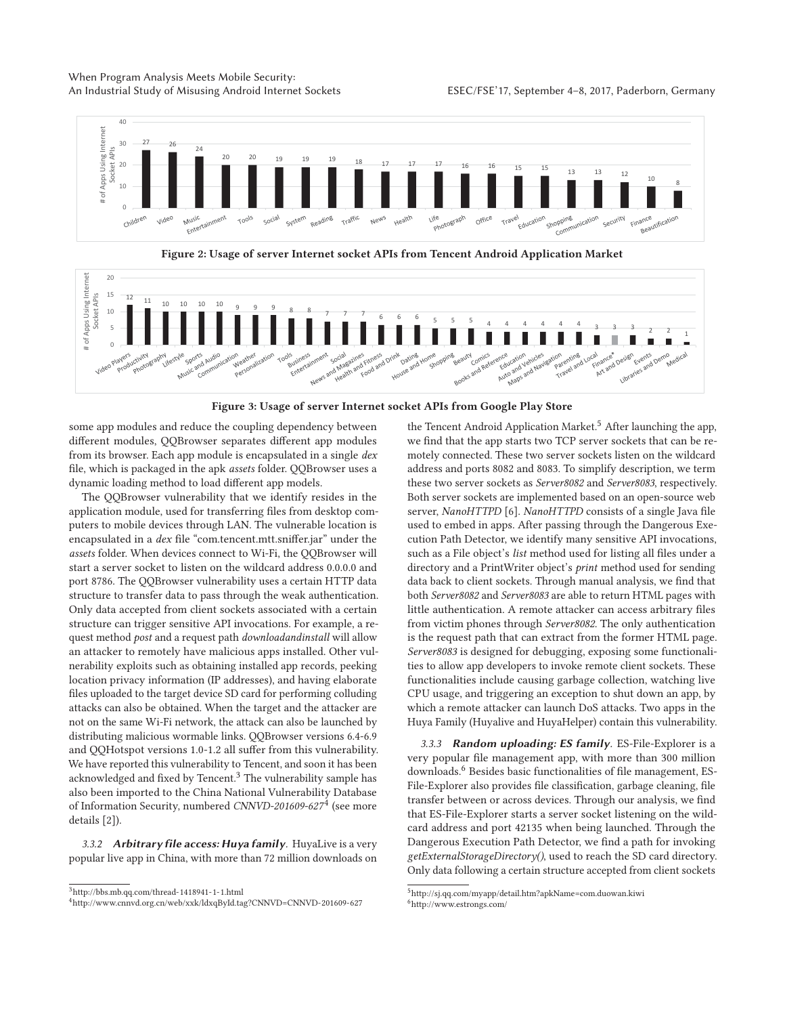## When Program Analysis Meets Mobile Security: An Industrial Study of Misusing Android Internet Sockets ESEC/FSE'17, September 4-8, 2017, Paderborn, Germany



**Figure 2: Usage of server Internet socket APIs from Tencent Android Application Market**



**Figure 3: Usage of server Internet socket APIs from Google Play Store**

some app modules and reduce the coupling dependency between different modules, QQBrowser separates different app modules from its browser. Each app module is encapsulated in a single dex file, which is packaged in the apk assets folder. QQBrowser uses a dynamic loading method to load different app models.

The QQBrowser vulnerability that we identify resides in the application module, used for transferring files from desktop computers to mobile devices through LAN. The vulnerable location is encapsulated in a dex file "com.tencent.mtt.sniffer.jar" under the assets folder. When devices connect to Wi-Fi, the QQBrowser will start a server socket to listen on the wildcard address 0.0.0.0 and port 8786. The QQBrowser vulnerability uses a certain HTTP data structure to transfer data to pass through the weak authentication. Only data accepted from client sockets associated with a certain structure can trigger sensitive API invocations. For example, a request method post and a request path downloadandinstall will allow an attacker to remotely have malicious apps installed. Other vulnerability exploits such as obtaining installed app records, peeking location privacy information (IP addresses), and having elaborate files uploaded to the target device SD card for performing colluding attacks can also be obtained. When the target and the attacker are not on the same Wi-Fi network, the attack can also be launched by distributing malicious wormable links. QQBrowser versions 6.4-6.9 and QQHotspot versions 1.0-1.2 all suffer from this vulnerability. We have reported this vulnerability to Tencent, and soon it has been acknowledged and fixed by Tencent.<sup>3</sup> The vulnerability sample has also been imported to the China National Vulnerability Database of Information Security, numbered CNNVD-201609-627<sup>4</sup> (see more details [2]).

3.3.2 **Arbitrary file access: Huya family**. HuyaLive is a very popular live app in China, with more than 72 million downloads on the Tencent Android Application Market.<sup>5</sup> After launching the app, we find that the app starts two TCP server sockets that can be remotely connected. These two server sockets listen on the wildcard address and ports 8082 and 8083. To simplify description, we term these two server sockets as Server8082 and Server8083, respectively. Both server sockets are implemented based on an open-source web server, NanoHTTPD [6]. NanoHTTPD consists of a single Java file used to embed in apps. After passing through the Dangerous Execution Path Detector, we identify many sensitive API invocations, such as a File object's list method used for listing all files under a directory and a PrintWriter object's print method used for sending data back to client sockets. Through manual analysis, we find that both Server8082 and Server8083 are able to return HTML pages with little authentication. A remote attacker can access arbitrary files from victim phones through Server8082. The only authentication is the request path that can extract from the former HTML page. Server8083 is designed for debugging, exposing some functionalities to allow app developers to invoke remote client sockets. These functionalities include causing garbage collection, watching live CPU usage, and triggering an exception to shut down an app, by which a remote attacker can launch DoS attacks. Two apps in the Huya Family (Huyalive and HuyaHelper) contain this vulnerability.

3.3.3 **Random uploading: ES family**. ES-File-Explorer is a very popular file management app, with more than 300 million downloads.<sup>6</sup> Besides basic functionalities of file management, ES-File-Explorer also provides file classification, garbage cleaning, file transfer between or across devices. Through our analysis, we find that ES-File-Explorer starts a server socket listening on the wildcard address and port 42135 when being launched. Through the Dangerous Execution Path Detector, we find a path for invoking getExternalStorageDirectory(), used to reach the SD card directory. Only data following a certain structure accepted from client sockets

<sup>3</sup>http://bbs.mb.qq.com/thread-1418941-1-1.html

<sup>4</sup>http://www.cnnvd.org.cn/web/xxk/ldxqById.tag?CNNVD=CNNVD-201609-627

 $^{5}$ http://sj.qq.com/myapp/detail.htm?apkName=com.duowan.kiwi 6http://www.estrongs.com/